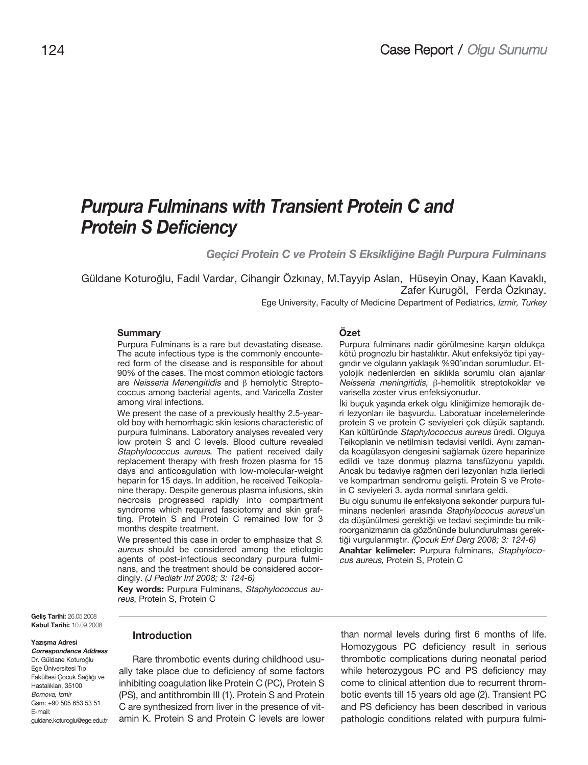# **Purpura Fulminans with Transient Protein C and Protein S Deficiency**

Geçici Protein C ve Protein S Eksikliğine Bağlı Purpura Fulminans

Güldane Koturoğlu, Fadıl Vardar, Cihangir Özkınay, M.Tayyip Aslan, Hüseyin Onay, Kaan Kavaklı, Zafer Kurugöl, Ferda Özkinay.

Ege University, Faculty of Medicine Department of Pediatrics, Izmir, Turkey

#### **Summary**

Purpura Fulminans is a rare but devastating disease. The acute infectious type is the commonly encountered form of the disease and is responsible for about 90% of the cases. The most common etiologic factors are Neisseria Menengitidis and β hemolytic Streptococcus among bacterial agents, and Varicella Zoster among viral infections.

We present the case of a previously healthy 2.5-yearold boy with hemorrhagic skin lesions characteristic of purpura fulminans. Laboratory analyses revealed very low protein S and C levels. Blood culture revealed Staphylococcus aureus. The patient received daily replacement therapy with fresh frozen plasma for 15 days and anticoagulation with low-molecular-weight heparin for 15 days. In addition, he received Teikoplanine therapy. Despite generous plasma infusions, skin necrosis progressed rapidly into compartment syndrome which required fasciotomy and skin grafting. Protein S and Protein C remained low for 3 months despite treatment.

We presented this case in order to emphasize that S. aureus should be considered among the etiologic agents of post-infectious secondary purpura fulminans, and the treatment should be considered accordingly. (J Pediatr Inf 2008; 3: 124-6)

**Key words:** Purpura Fulminans, Staphylococcus aureus, Protein S, Protein C

#### **Özet**

Purpura fulminans nadir görülmesine karşın oldukça kötü prognozlu bir hastalıktır. Akut enfeksiyöz tipi yaygındır ve olguların yaklaşık %90'ından sorumludur. Etyolojik nedenlerden en sıklıkla sorumlu olan ajanlar Neisseria meningitidis, β-hemolitik streptokoklar ve varisella zoster virus enfeksiyonudur.

İki buçuk yaşında erkek olgu kliniğimize hemorajik deri lezyonları ile başvurdu. Laboratuar incelemelerinde protein S ve protein C seviyeleri çok düşük saptandı. Kan kültüründe Staphylococcus aureus üredi. Olguya Teikoplanin ve netilmisin tedavisi verildi. Aynı zamanda koagülasyon dengesini sa¤lamak üzere heparinize edildi ve taze donmuş plazma tansfüzyonu yapıldı. Ancak bu tedaviye rağmen deri lezyonları hızla ilerledi ve kompartman sendromu gelişti. Protein S ve Protein C seviyeleri 3. ayda normal sınırlara geldi.

Bu olgu sunumu ile enfeksiyona sekonder purpura fulminans nedenleri arasında Staphylococus aureus'un da düşünülmesi gerektiği ve tedavi seçiminde bu mikroorganizmanın da gözönünde bulundurulması gerektiği vurgulanmıştır. (Çocuk Enf Derg 2008; 3: 124-6)

**Anahtar kelimeler:** Purpura fulminans, Staphylococus aureus, Protein S, Protein C

**Gelis Tarihi: 26.05.2008 Kabul Tarihi:** 10.09.2008

#### **Yazısma Adresi**

**11** guldane.koturoglu@ege.edu.tr **Correspondence Address** Dr. Güldane Koturoğlu Ege Üniversitesi T›p Fakültesi Cocuk Sağlığı ve Hastalıkları, 35100 Bornova, İzmir Gsm: +90 505 653 53 51 E-mail:

### **Introduction**

Rare thrombotic events during childhood usually take place due to deficiency of some factors inhibiting coagulation like Protein C (PC), Protein S (PS), and antithrombin III (1). Protein S and Protein C are synthesized from liver in the presence of vitamin K. Protein S and Protein C levels are lower than normal levels during first 6 months of life. Homozygous PC deficiency result in serious thrombotic complications during neonatal period while heterozygous PC and PS deficiency may come to clinical attention due to recurrent thrombotic events till 15 years old age (2). Transient PC and PS deficiency has been described in various pathologic conditions related with purpura fulmi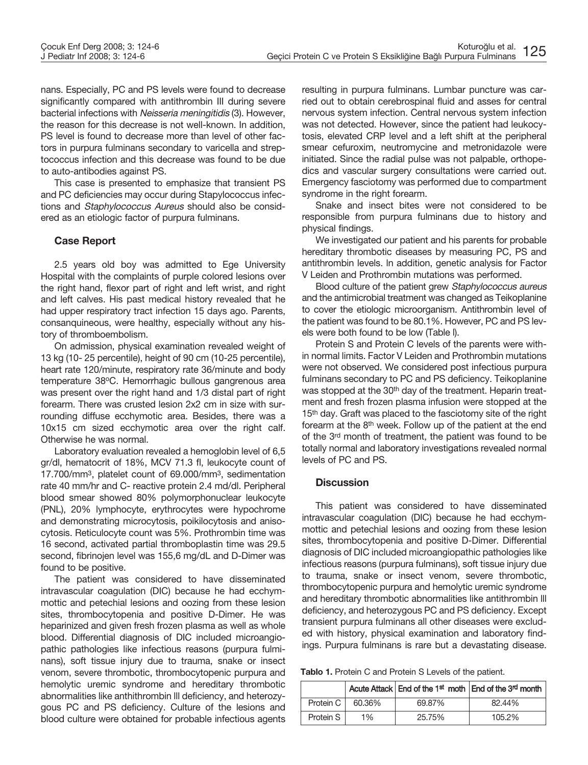nans. Especially, PC and PS levels were found to decrease significantly compared with antithrombin III during severe bacterial infections with Neisseria meningitidis (3). However, the reason for this decrease is not well-known. In addition, PS level is found to decrease more than level of other factors in purpura fulminans secondary to varicella and streptococcus infection and this decrease was found to be due to auto-antibodies against PS.

This case is presented to emphasize that transient PS and PC deficiencies may occur during Stapylococcus infections and Staphylococcus Aureus should also be considered as an etiologic factor of purpura fulminans.

# **Case Report**

2.5 years old boy was admitted to Ege University Hospital with the complaints of purple colored lesions over the right hand, flexor part of right and left wrist, and right and left calves. His past medical history revealed that he had upper respiratory tract infection 15 days ago. Parents, consanquineous, were healthy, especially without any history of thromboembolism.

On admission, physical examination revealed weight of 13 kg (10- 25 percentile), height of 90 cm (10-25 percentile), heart rate 120/minute, respiratory rate 36/minute and body temperature 38°C. Hemorrhagic bullous gangrenous area was present over the right hand and 1/3 distal part of right forearm. There was crusted lesion 2x2 cm in size with surrounding diffuse ecchymotic area. Besides, there was a 10x15 cm sized ecchymotic area over the right calf. Otherwise he was normal.

Laboratory evaluation revealed a hemoglobin level of 6,5 gr/dl, hematocrit of 18%, MCV 71.3 fl, leukocyte count of 17.700/mm3, platelet count of 69.000/mm3, sedimentation rate 40 mm/hr and C- reactive protein 2.4 md/dl. Peripheral blood smear showed 80% polymorphonuclear leukocyte (PNL), 20% lymphocyte, erythrocytes were hypochrome and demonstrating microcytosis, poikilocytosis and anisocytosis. Reticulocyte count was 5%. Prothrombin time was 16 second, activated partial thromboplastin time was 29.5 second, fibrinojen level was 155,6 mg/dL and D-Dimer was found to be positive.

The patient was considered to have disseminated intravascular coagulation (DIC) because he had ecchymmottic and petechial lesions and oozing from these lesion sites, thrombocytopenia and positive D-Dimer. He was heparinized and given fresh frozen plasma as well as whole blood. Differential diagnosis of DIC included microangiopathic pathologies like infectious reasons (purpura fulminans), soft tissue injury due to trauma, snake or insect venom, severe thrombotic, thrombocytopenic purpura and hemolytic uremic syndrome and hereditary thrombotic abnormalities like anthithrombin lll deficiency, and heterozygous PC and PS deficiency. Culture of the lesions and blood culture were obtained for probable infectious agents resulting in purpura fulminans. Lumbar puncture was carried out to obtain cerebrospinal fluid and asses for central nervous system infection. Central nervous system infection was not detected. However, since the patient had leukocytosis, elevated CRP level and a left shift at the peripheral smear cefuroxim, neutromycine and metronidazole were initiated. Since the radial pulse was not palpable, orthopedics and vascular surgery consultations were carried out. Emergency fasciotomy was performed due to compartment syndrome in the right forearm.

Snake and insect bites were not considered to be responsible from purpura fulminans due to history and physical findings.

We investigated our patient and his parents for probable hereditary thrombotic diseases by measuring PC, PS and antithrombin levels. ln addition, genetic analysis for Factor V Leiden and Prothrombin mutations was performed.

Blood culture of the patient grew Staphylococcus aureus and the antimicrobial treatment was changed as Teikoplanine to cover the etiologic microorganism. Antithrombin level of the patient was found to be 80.1%. However, PC and PS levels were both found to be low (Table l).

Protein S and Protein C levels of the parents were within normal limits. Factor V Leiden and Prothrombin mutations were not observed. We considered post infectious purpura fulminans secondary to PC and PS deficiency. Teikoplanine was stopped at the 30<sup>th</sup> day of the treatment. Heparin treatment and fresh frozen plasma infusion were stopped at the 15<sup>th</sup> day. Graft was placed to the fasciotomy site of the right forearm at the 8th week. Follow up of the patient at the end of the 3rd month of treatment, the patient was found to be totally normal and laboratory investigations revealed normal levels of PC and PS.

# **Discussion**

This patient was considered to have disseminated intravascular coagulation (DIC) because he had ecchymmottic and petechial lesions and oozing from these lesion sites, thrombocytopenia and positive D-Dimer. Differential diagnosis of DIC included microangiopathic pathologies like infectious reasons (purpura fulminans), soft tissue injury due to trauma, snake or insect venom, severe thrombotic, thrombocytopenic purpura and hemolytic uremic syndrome and hereditary thrombotic abnormalities like antithrombin lll deficiency, and heterozygous PC and PS deficiency. Except transient purpura fulminans all other diseases were excluded with history, physical examination and laboratory findings. Purpura fulminans is rare but a devastating disease.

**Tablo 1.** Protein C and Protein S Levels of the patient.

|           |        |        | Acute Attack End of the 1 <sup>st</sup> moth End of the 3 <sup>rd</sup> month |
|-----------|--------|--------|-------------------------------------------------------------------------------|
| Protein C | 60.36% | 69.87% | 82.44%                                                                        |
| Protein S | $1\%$  | 25.75% | 105.2%                                                                        |